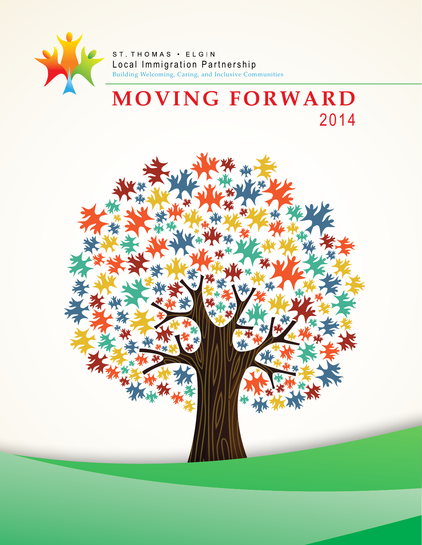

ST. THOMAS . ELGIN L ocal Immigration Partnership Building Welcoming, Caring, and Inclusive Communities

# **MOVING FORWARD** 2014

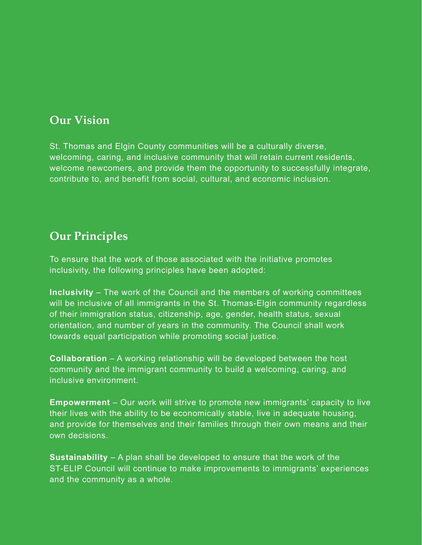## **Our Vision**

St. Thomas and Elgin County communities will be a culturally diverse, welcoming, caring, and inclusive community that will retain current residents, welcome newcomers, and provide them the opportunity to successfully integrate, contribute to, and benefit from social, cultural, and economic inclusion.

## **Our Principles**

To ensure that the work of those associated with the initiative promotes inclusivity, the following principles have been adopted:

**Inclusivity** – The work of the Council and the members of working committees will be inclusive of all immigrants in the St. Thomas-Elgin community regardless of their immigration status, citizenship, age, gender, health status, sexual orientation, and number of years in the community. The Council shall work towards equal participation while promoting social justice.

**Collaboration** – A working relationship will be developed between the host community and the immigrant community to build a welcoming, caring, and inclusive environment.

**Empowerment** – Our work will strive to promote new immigrants' capacity to live their lives with the ability to be economically stable, live in adequate housing, and provide for themselves and their families through their own means and their own decisions.

**Sustainability** – A plan shall be developed to ensure that the work of the ST-ELIP Council will continue to make improvements to immigrants' experiences and the community as a whole.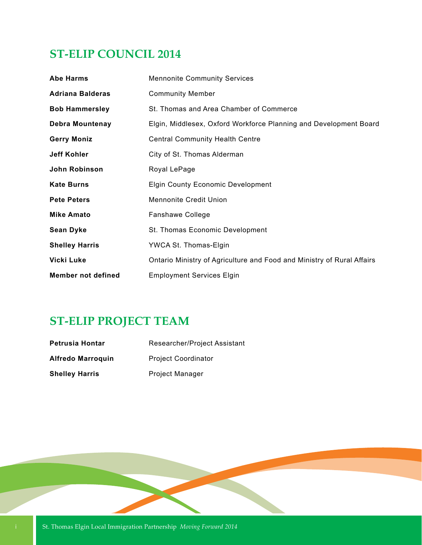## **ST-ELIP COUNCIL 2014**

| <b>Abe Harms</b>          | <b>Mennonite Community Services</b>                                    |  |
|---------------------------|------------------------------------------------------------------------|--|
| <b>Adriana Balderas</b>   | <b>Community Member</b>                                                |  |
| <b>Bob Hammersley</b>     | St. Thomas and Area Chamber of Commerce                                |  |
| <b>Debra Mountenay</b>    | Elgin, Middlesex, Oxford Workforce Planning and Development Board      |  |
| <b>Gerry Moniz</b>        | <b>Central Community Health Centre</b>                                 |  |
| <b>Jeff Kohler</b>        | City of St. Thomas Alderman                                            |  |
| John Robinson             | Royal LePage                                                           |  |
| <b>Kate Burns</b>         | <b>Elgin County Economic Development</b>                               |  |
| <b>Pete Peters</b>        | <b>Mennonite Credit Union</b>                                          |  |
| <b>Mike Amato</b>         | Fanshawe College                                                       |  |
| <b>Sean Dyke</b>          | St. Thomas Economic Development                                        |  |
| <b>Shelley Harris</b>     | YWCA St. Thomas-Elgin                                                  |  |
| <b>Vicki Luke</b>         | Ontario Ministry of Agriculture and Food and Ministry of Rural Affairs |  |
| <b>Member not defined</b> | <b>Employment Services Elgin</b>                                       |  |

## **ST-ELIP PROJECT TEAM**

| Petrusia Hontar       | Researcher/Project Assistant |
|-----------------------|------------------------------|
| Alfredo Marroquin     | <b>Project Coordinator</b>   |
| <b>Shelley Harris</b> | <b>Project Manager</b>       |

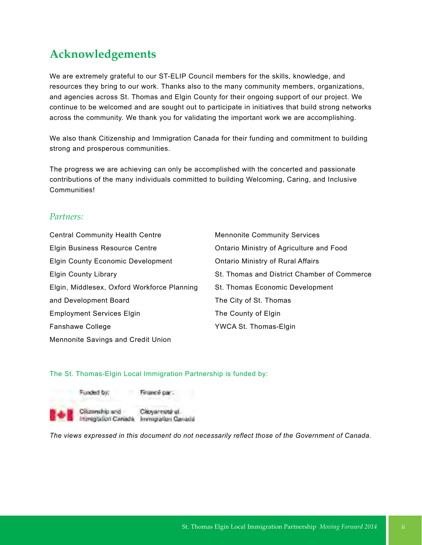## **Acknowledgements**

We are extremely grateful to our ST-ELIP Council members for the skills, knowledge, and resources they bring to our work. Thanks also to the many community members, organizations, and agencies across St. Thomas and Elgin County for their ongoing support of our project. We continue to be welcomed and are sought out to participate in initiatives that build strong networks across the community. We thank you for validating the important work we are accomplishing.

We also thank Citizenship and Immigration Canada for their funding and commitment to building strong and prosperous communities.

The progress we are achieving can only be accomplished with the concerted and passionate contributions of the many individuals committed to building Welcoming, Caring, and Inclusive **Communities!** 

## *Partners:*

Central Community Health Centre Elgin Business Resource Centre Elgin County Economic Development Elgin County Library Elgin, Middlesex, Oxford Workforce Planning and Development Board Employment Services Elgin Fanshawe College Mennonite Savings and Credit Union

Mennonite Community Services Ontario Ministry of Agriculture and Food Ontario Ministry of Rural Affairs St. Thomas and District Chamber of Commerce St. Thomas Economic Development The City of St. Thomas The County of Elgin YWCA St. Thomas-Elgin

## The St. Thomas-Elgin Local Immigration Partnership is funded by:



Citoyarmete et Immigration Canada Immigration Canada

*The views expressed in this document do not necessarily reflect those of the Government of Canada.*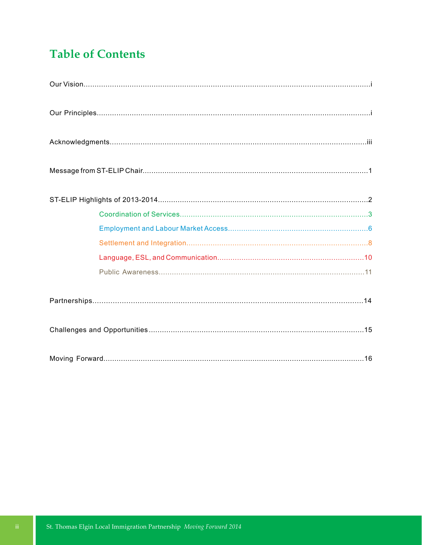## **Table of Contents**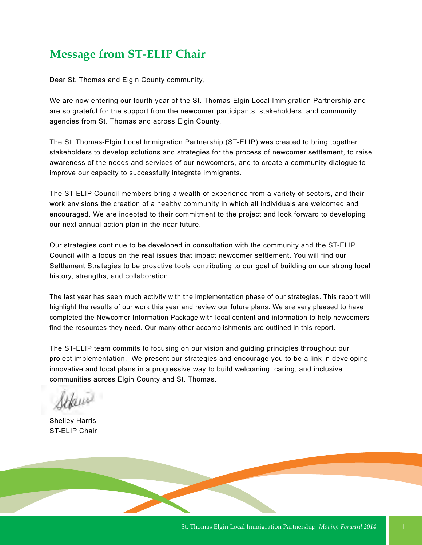## **Message from ST-ELIP Chair**

Dear St. Thomas and Elgin County community,

We are now entering our fourth year of the St. Thomas-Elgin Local Immigration Partnership and are so grateful for the support from the newcomer participants, stakeholders, and community agencies from St. Thomas and across Elgin County.

The St. Thomas-Elgin Local Immigration Partnership (ST-ELIP) was created to bring together stakeholders to develop solutions and strategies for the process of newcomer settlement, to raise awareness of the needs and services of our newcomers, and to create a community dialogue to improve our capacity to successfully integrate immigrants.

The ST-ELIP Council members bring a wealth of experience from a variety of sectors, and their work envisions the creation of a healthy community in which all individuals are welcomed and encouraged. We are indebted to their commitment to the project and look forward to developing our next annual action plan in the near future.

Our strategies continue to be developed in consultation with the community and the ST-ELIP Council with a focus on the real issues that impact newcomer settlement. You will find our Settlement Strategies to be proactive tools contributing to our goal of building on our strong local history, strengths, and collaboration.

The last year has seen much activity with the implementation phase of our strategies. This report will highlight the results of our work this year and review our future plans. We are very pleased to have completed the Newcomer Information Package with local content and information to help newcomers find the resources they need. Our many other accomplishments are outlined in this report.

The ST-ELIP team commits to focusing on our vision and guiding principles throughout our project implementation. We present our strategies and encourage you to be a link in developing innovative and local plans in a progressive way to build welcoming, caring, and inclusive communities across Elgin County and St. Thomas.

Shelley Harris ST-ELIP Chair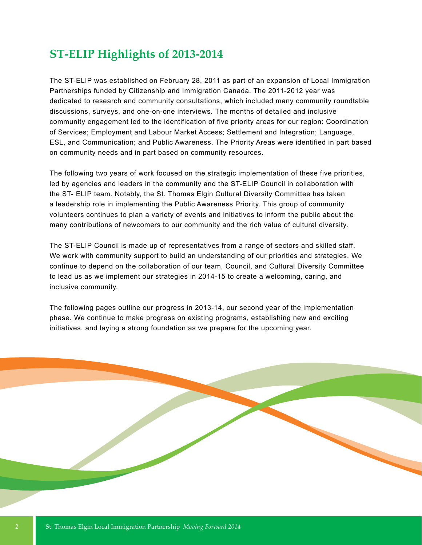## **ST-ELIP Highlights of 2013-2014**

The ST-ELIP was established on February 28, 2011 as part of an expansion of Local Immigration Partnerships funded by Citizenship and Immigration Canada. The 2011-2012 year was dedicated to research and community consultations, which included many community roundtable discussions, surveys, and one-on-one interviews. The months of detailed and inclusive community engagement led to the identification of five priority areas for our region: Coordination of Services; Employment and Labour Market Access; Settlement and Integration; Language, ESL, and Communication; and Public Awareness. The Priority Areas were identified in part based on community needs and in part based on community resources.

The following two years of work focused on the strategic implementation of these five priorities, led by agencies and leaders in the community and the ST-ELIP Council in collaboration with the ST- ELIP team. Notably, the St. Thomas Elgin Cultural Diversity Committee has taken a leadership role in implementing the Public Awareness Priority. This group of community volunteers continues to plan a variety of events and initiatives to inform the public about the many contributions of newcomers to our community and the rich value of cultural diversity.

The ST-ELIP Council is made up of representatives from a range of sectors and skilled staff. We work with community support to build an understanding of our priorities and strategies. We continue to depend on the collaboration of our team, Council, and Cultural Diversity Committee to lead us as we implement our strategies in 2014-15 to create a welcoming, caring, and inclusive community.

The following pages outline our progress in 2013-14, our second year of the implementation phase. We continue to make progress on existing programs, establishing new and exciting initiatives, and laying a strong foundation as we prepare for the upcoming year.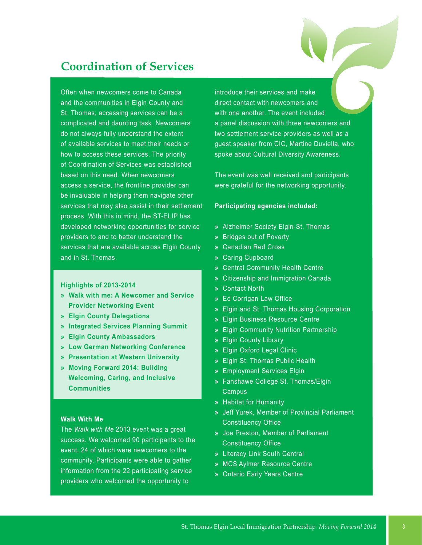## **Coordination of Services**

Often when newcomers come to Canada and the communities in Elgin County and St. Thomas, accessing services can be a complicated and daunting task. Newcomers do not always fully understand the extent of available services to meet their needs or how to access these services. The priority of Coordination of Services was established based on this need. When newcomers access a service, the frontline provider can be invaluable in helping them navigate other services that may also assist in their settlement process. With this in mind, the ST-ELIP has developed networking opportunities for service providers to and to better understand the services that are available across Elgin County and in St. Thomas.

**Highlights of 2013-2014** 

- **» Walk with me: A Newcomer and Service Provider Networking Event**
- **» Elgin County Delegations**
- **» Integrated Services Planning Summit**
- **» Elgin County Ambassadors**
- **» Low German Networking Conference**
- **» Presentation at Western University**
- **» Moving Forward 2014: Building Welcoming, Caring, and Inclusive Communities**

### **Walk With Me**

The *Walk with Me* 2013 event was a great success. We welcomed 90 participants to the event, 24 of which were newcomers to the community. Participants were able to gather information from the 22 participating service providers who welcomed the opportunity to

introduce their services and make direct contact with newcomers and with one another. The event included a panel discussion with three newcomers and two settlement service providers as well as a guest speaker from CIC, Martine Duviella, who spoke about Cultural Diversity Awareness.

The event was well received and participants were grateful for the networking opportunity.

### **Participating agencies included:**

- **»** Alzheimer Society Elgin-St. Thomas
- **»** Bridges out of Poverty
- **»** Canadian Red Cross
- **»** Caring Cupboard
- **»** Central Community Health Centre
- **»** Citizenship and Immigration Canada
- **»** Contact North
- **»** Ed Corrigan Law Office
- **»** Elgin and St. Thomas Housing Corporation
- **»** Elgin Business Resource Centre
- **»** Elgin Community Nutrition Partnership
- **»** Elgin County Library
- **»** Elgin Oxford Legal Clinic
- **»** Elgin St. Thomas Public Health
- **»** Employment Services Elgin
- **»** Fanshawe College St. Thomas/Elgin Campus
- **»** Habitat for Humanity
- **»** Jeff Yurek, Member of Provincial Parliament Constituency Office
- **»** Joe Preston, Member of Parliament Constituency Office
- **»** Literacy Link South Central
- **»** MCS Aylmer Resource Centre
- **»** Ontario Early Years Centre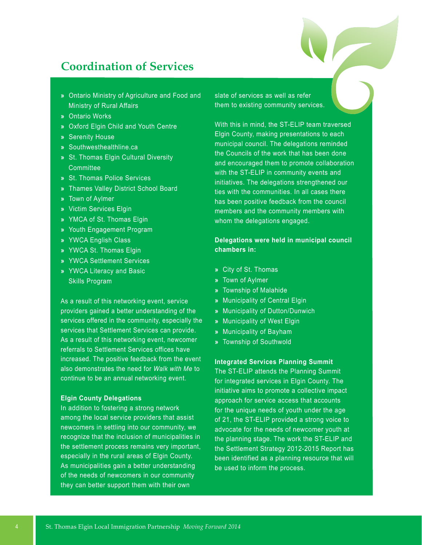## **Coordination of Services**

- **»** Ontario Ministry of Agriculture and Food and Ministry of Rural Affairs
- **»** Ontario Works
- **»** Oxford Elgin Child and Youth Centre
- **»** Serenity House
- **»** Southwesthealthline.ca
- **»** St. Thomas Elgin Cultural Diversity **Committee**
- **»** St. Thomas Police Services
- **»** Thames Valley District School Board
- **»** Town of Aylmer
- **»** Victim Services Elgin
- **»** YMCA of St. Thomas Elgin
- **»** Youth Engagement Program
- **»** YWCA English Class
- **»** YWCA St. Thomas Elgin
- **»** YWCA Settlement Services
- **»** YWCA Literacy and Basic Skills Program

As a result of this networking event, service providers gained a better understanding of the services offered in the community, especially the services that Settlement Services can provide. As a result of this networking event, newcomer referrals to Settlement Services offices have increased. The positive feedback from the event also demonstrates the need for *Walk with Me* to continue to be an annual networking event.

### **Elgin County Delegations**

In addition to fostering a strong network among the local service providers that assist newcomers in settling into our community, we recognize that the inclusion of municipalities in the settlement process remains very important, especially in the rural areas of Elgin County. As municipalities gain a better understanding of the needs of newcomers in our community they can better support them with their own

slate of services as well as refer them to existing community services.

With this in mind, the ST-ELIP team traversed Elgin County, making presentations to each municipal council. The delegations reminded the Councils of the work that has been done and encouraged them to promote collaboration with the ST-ELIP in community events and initiatives. The delegations strengthened our ties with the communities. In all cases there has been positive feedback from the council members and the community members with whom the delegations engaged.

## **Delegations were held in municipal council chambers in:**

- **»** City of St. Thomas
- **»** Town of Aylmer
- **»** Township of Malahide
- **»** Municipality of Central Elgin
- **»** Municipality of Dutton/Dunwich
- **»** Municipality of West Elgin
- **»** Municipality of Bayham
- **»** Township of Southwold

## **Integrated Services Planning Summit**

The ST-ELIP attends the Planning Summit for integrated services in Elgin County. The initiative aims to promote a collective impact approach for service access that accounts for the unique needs of youth under the age of 21, the ST-ELIP provided a strong voice to advocate for the needs of newcomer youth at the planning stage. The work the ST-ELIP and the Settlement Strategy 2012-2015 Report has been identified as a planning resource that will be used to inform the process.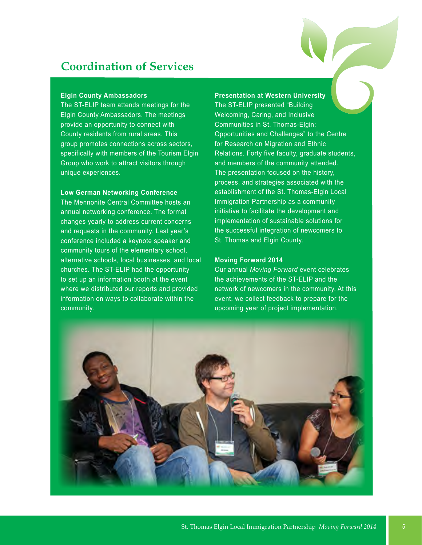## **Coordination of Services**

### **Elgin County Ambassadors**

The ST-ELIP team attends meetings for the Elgin County Ambassadors. The meetings provide an opportunity to connect with County residents from rural areas. This group promotes connections across sectors, specifically with members of the Tourism Elgin Group who work to attract visitors through unique experiences.

## **Low German Networking Conference**

The Mennonite Central Committee hosts an annual networking conference. The format changes yearly to address current concerns and requests in the community. Last year's conference included a keynote speaker and community tours of the elementary school, alternative schools, local businesses, and local churches. The ST-ELIP had the opportunity to set up an information booth at the event where we distributed our reports and provided information on ways to collaborate within the community.

## **Presentation at Western University**

The ST-ELIP presented "Building Welcoming, Caring, and Inclusive Communities in St. Thomas-Elgin: Opportunities and Challenges" to the Centre for Research on Migration and Ethnic Relations. Forty five faculty, graduate students, and members of the community attended. The presentation focused on the history, process, and strategies associated with the establishment of the St. Thomas-Elgin Local Immigration Partnership as a community initiative to facilitate the development and implementation of sustainable solutions for the successful integration of newcomers to St. Thomas and Elgin County.

## **Moving Forward 2014**

Our annual *Moving Forward* event celebrates the achievements of the ST-ELIP and the network of newcomers in the community. At this event, we collect feedback to prepare for the upcoming year of project implementation.

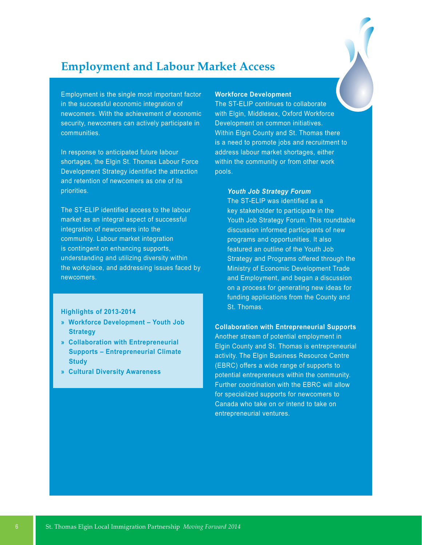## **Employment and Labour Market Access**

Employment is the single most important factor in the successful economic integration of newcomers. With the achievement of economic security, newcomers can actively participate in communities.

In response to anticipated future labour shortages, the Elgin St. Thomas Labour Force Development Strategy identified the attraction and retention of newcomers as one of its priorities.

The ST-ELIP identified access to the labour market as an integral aspect of successful integration of newcomers into the community. Labour market integration is contingent on enhancing supports, understanding and utilizing diversity within the workplace, and addressing issues faced by newcomers.

### **Highlights of 2013-2014**

- **» Workforce Development Youth Job Strategy**
- **» Collaboration with Entrepreneurial Supports – Entrepreneurial Climate Study**
- **» Cultural Diversity Awareness**

## **Workforce Development**

The ST-ELIP continues to collaborate with Elgin, Middlesex, Oxford Workforce Development on common initiatives. Within Elgin County and St. Thomas there is a need to promote jobs and recruitment to address labour market shortages, either within the community or from other work pools.

### *Youth Job Strategy Forum*

The ST-ELIP was identified as a key stakeholder to participate in the Youth Job Strategy Forum. This roundtable discussion informed participants of new programs and opportunities. It also featured an outline of the Youth Job Strategy and Programs offered through the Ministry of Economic Development Trade and Employment, and began a discussion on a process for generating new ideas for funding applications from the County and St. Thomas.

### **Collaboration with Entrepreneurial Supports**

Another stream of potential employment in Elgin County and St. Thomas is entrepreneurial activity. The Elgin Business Resource Centre (EBRC) offers a wide range of supports to potential entrepreneurs within the community. Further coordination with the EBRC will allow for specialized supports for newcomers to Canada who take on or intend to take on entrepreneurial ventures.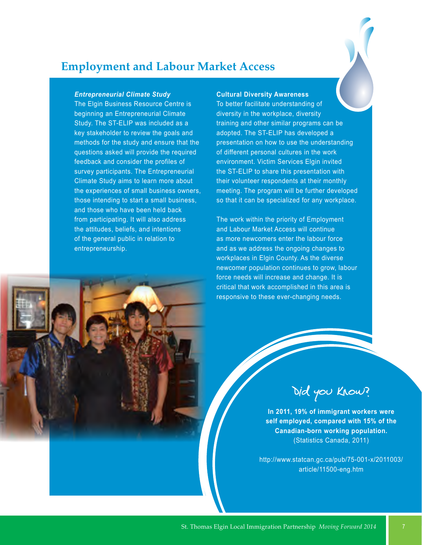## **Employment and Labour Market Access**

### *Entrepreneurial Climate Study*

The Elgin Business Resource Centre is beginning an Entrepreneurial Climate Study. The ST-ELIP was included as a key stakeholder to review the goals and methods for the study and ensure that the questions asked will provide the required feedback and consider the profiles of survey participants. The Entrepreneurial Climate Study aims to learn more about the experiences of small business owners, those intending to start a small business, and those who have been held back from participating. It will also address the attitudes, beliefs, and intentions of the general public in relation to entrepreneurship.

### **Cultural Diversity Awareness**

To better facilitate understanding of diversity in the workplace, diversity training and other similar programs can be adopted. The ST-ELIP has developed a presentation on how to use the understanding of different personal cultures in the work environment. Victim Services Elgin invited the ST-ELIP to share this presentation with their volunteer respondents at their monthly meeting. The program will be further developed so that it can be specialized for any workplace.

The work within the priority of Employment and Labour Market Access will continue as more newcomers enter the labour force and as we address the ongoing changes to workplaces in Elgin County. As the diverse newcomer population continues to grow, labour force needs will increase and change. It is critical that work accomplished in this area is responsive to these ever-changing needs.

Did you know?

**In 2011, 19% of immigrant workers were self employed, compared with 15% of the Canadian-born working population.**  (Statistics Canada, 2011)

http://www.statcan.gc.ca/pub/75-001-x/2011003/ article/11500-eng.htm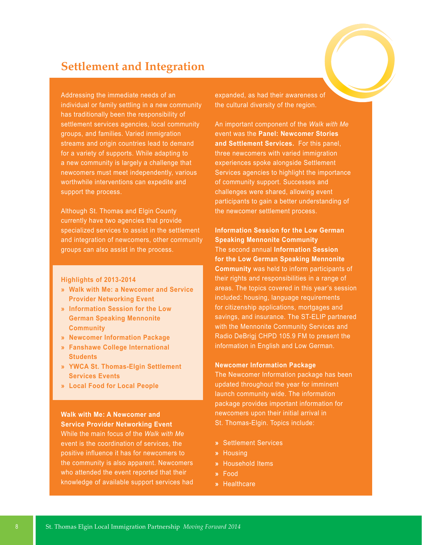## **Settlement and Integration**

Addressing the immediate needs of an individual or family settling in a new community has traditionally been the responsibility of settlement services agencies, local community groups, and families. Varied immigration streams and origin countries lead to demand for a variety of supports. While adapting to a new community is largely a challenge that newcomers must meet independently, various worthwhile interventions can expedite and support the process.

Although St. Thomas and Elgin County currently have two agencies that provide specialized services to assist in the settlement and integration of newcomers, other community groups can also assist in the process.

### **Highlights of 2013-2014**

- **» Walk with Me: a Newcomer and Service Provider Networking Event**
- **» Information Session for the Low German Speaking Mennonite Community**
- **» Newcomer Information Package**
- **» Fanshawe College International Students**
- **» YWCA St. Thomas-Elgin Settlement Services Events**
- **» Local Food for Local People**

## **Walk with Me: A Newcomer and Service Provider Networking Event**

While the main focus of the *Walk with Me* event is the coordination of services, the positive influence it has for newcomers to the community is also apparent. Newcomers who attended the event reported that their knowledge of available support services had expanded, as had their awareness of the cultural diversity of the region.

An important component of the *Walk with Me*  event was the **Panel: Newcomer Stories and Settlement Services.** For this panel, three newcomers with varied immigration experiences spoke alongside Settlement Services agencies to highlight the importance of community support. Successes and challenges were shared, allowing event participants to gain a better understanding of the newcomer settlement process.

**Information Session for the Low German Speaking Mennonite Community**  The second annual **Information Session for the Low German Speaking Mennonite Community** was held to inform participants of their rights and responsibilities in a range of areas. The topics covered in this year's session included: housing, language requirements for citizenship applications, mortgages and savings, and insurance. The ST-ELIP partnered with the Mennonite Community Services and Radio DeBrigj CHPD 105.9 FM to present the information in English and Low German.

### **Newcomer Information Package**

The Newcomer Information package has been updated throughout the year for imminent launch community wide. The information package provides important information for newcomers upon their initial arrival in St. Thomas-Elgin. Topics include:

- **»** Settlement Services
- **»** Housing
- **»** Household Items
- **»** Food
- **»** Healthcare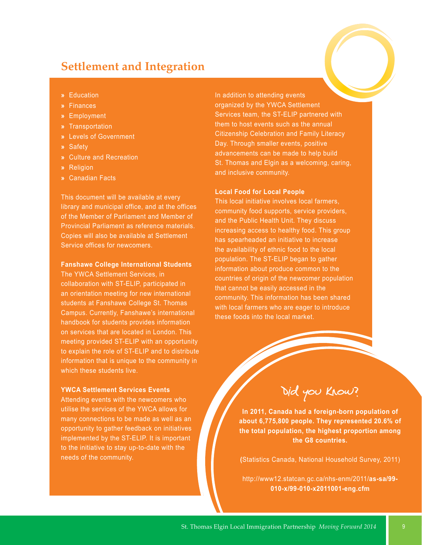## **Settlement and Integration**

- **»** Education
- **»** Finances
- **»** Employment
- **»** Transportation
- **»** Levels of Government
- **»** Safety
- **»** Culture and Recreation
- **»** Religion
- **»** Canadian Facts

This document will be available at every library and municipal office, and at the offices of the Member of Parliament and Member of Provincial Parliament as reference materials. Copies will also be available at Settlement Service offices for newcomers.

### **Fanshawe College International Students**

The YWCA Settlement Services, in collaboration with ST-ELIP, participated in an orientation meeting for new international students at Fanshawe College St. Thomas Campus. Currently, Fanshawe's international handbook for students provides information on services that are located in London. This meeting provided ST-ELIP with an opportunity to explain the role of ST-ELIP and to distribute information that is unique to the community in which these students live.

## **YWCA Settlement Services Events**

Attending events with the newcomers who utilise the services of the YWCA allows for many connections to be made as well as an opportunity to gather feedback on initiatives implemented by the ST-ELIP. It is important to the initiative to stay up-to-date with the needs of the community.

In addition to attending events organized by the YWCA Settlement Services team, the ST-ELIP partnered with them to host events such as the annual Citizenship Celebration and Family Literacy Day. Through smaller events, positive advancements can be made to help build St. Thomas and Elgin as a welcoming, caring, and inclusive community.

### **Local Food for Local People**

This local initiative involves local farmers, community food supports, service providers, and the Public Health Unit. They discuss increasing access to healthy food. This group has spearheaded an initiative to increase the availability of ethnic food to the local population. The ST-ELIP began to gather information about produce common to the countries of origin of the newcomer population that cannot be easily accessed in the community. This information has been shared with local farmers who are eager to introduce these foods into the local market.

Did you know?

**In 2011, Canada had a foreign-born population of about 6,775,800 people. They represented 20.6% of the total population, the highest proportion among the G8 countries.**

**(**Statistics Canada, National Household Survey, 2011)

http://www12.statcan.gc.ca/nhs-enm/2011/**as-sa/99- 010-x/99-010-x2011001-eng.cfm**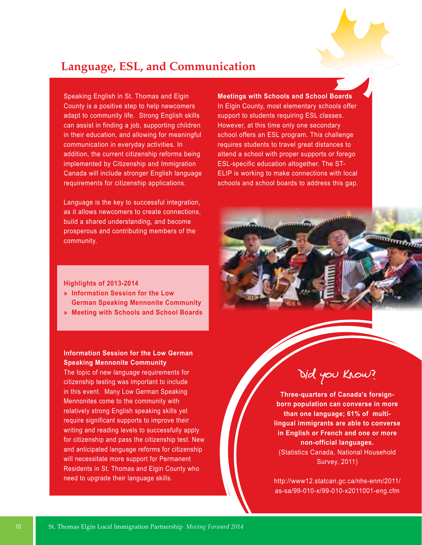## **Language, ESL, and Communication**

Speaking English in St. Thomas and Elgin County is a positive step to help newcomers adapt to community life. Strong English skills can assist in finding a job, supporting children in their education, and allowing for meaningful communication in everyday activities. In addition, the current citizenship reforms being implemented by Citizenship and Immigration Canada will include stronger English language requirements for citizenship applications.

Language is the key to successful integration, as it allows newcomers to create connections, build a shared understanding, and become prosperous and contributing members of the community.

## **Meetings with Schools and School Boards**

In Elgin County, most elementary schools offer support to students requiring ESL classes. However, at this time only one secondary school offers an ESL program. This challenge requires students to travel great distances to attend a school with proper supports or forego ESL-specific education altogether. The ST-ELIP is working to make connections with local schools and school boards to address this gap.

## **Highlights of 2013-2014**

- **» Information Session for the Low German Speaking Mennonite Community**
- **» Meeting with Schools and School Boards**

## **Information Session for the Low German Speaking Mennonite Community**

The topic of new language requirements for citizenship testing was important to include in this event. Many Low German Speaking Mennonites come to the community with relatively strong English speaking skills yet require significant supports to improve their writing and reading levels to successfully apply for citizenship and pass the citizenship test. New and anticipated language reforms for citizenship will necessitate more support for Permanent Residents in St. Thomas and Elgin County who need to upgrade their language skills.



**Three-quarters of Canada's foreignborn population can converse in more than one language; 61% of multilingual immigrants are able to converse in English or French and one or more non-official languages.**  (Statistics Canada, National Household Survey, 2011)

http://www12.statcan.gc.ca/nhs-enm/2011/ as-sa/99-010-x/99-010-x2011001-eng.cfm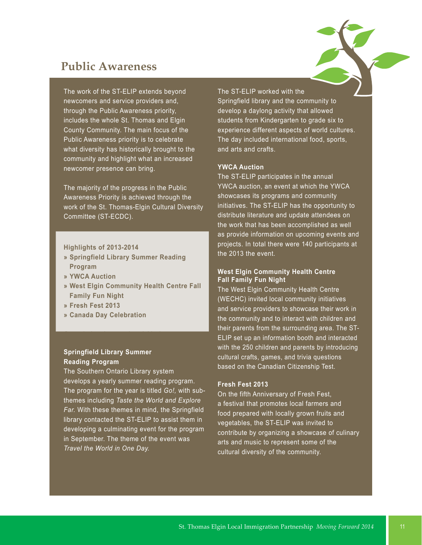## **Public Awareness**

The work of the ST-ELIP extends beyond newcomers and service providers and, through the Public Awareness priority, includes the whole St. Thomas and Elgin County Community. The main focus of the Public Awareness priority is to celebrate what diversity has historically brought to the community and highlight what an increased newcomer presence can bring.

The majority of the progress in the Public Awareness Priority is achieved through the work of the St. Thomas-Elgin Cultural Diversity Committee (ST-ECDC).

### **Highlights of 2013-2014**

- **» Springfield Library Summer Reading Program**
- **» YWCA Auction**
- **» West Elgin Community Health Centre Fall Family Fun Night**
- **» Fresh Fest 2013**
- **» Canada Day Celebration**

## **Springfield Library Summer Reading Program**

The Southern Ontario Library system develops a yearly summer reading program. The program for the year is titled *Go!,* with subthemes including *Taste the World and Explore Far.* With these themes in mind, the Springfield library contacted the ST-ELIP to assist them in developing a culminating event for the program in September. The theme of the event was *Travel the World in One Day.*

## The ST-ELIP worked with the

Springfield library and the community to develop a daylong activity that allowed students from Kindergarten to grade six to experience different aspects of world cultures. The day included international food, sports, and arts and crafts.

## **YWCA Auction**

The ST-ELIP participates in the annual YWCA auction, an event at which the YWCA showcases its programs and community initiatives. The ST-ELIP has the opportunity to distribute literature and update attendees on the work that has been accomplished as well as provide information on upcoming events and projects. In total there were 140 participants at the 2013 the event.

### **West Elgin Community Health Centre Fall Family Fun Night**

The West Elgin Community Health Centre (WECHC) invited local community initiatives and service providers to showcase their work in the community and to interact with children and their parents from the surrounding area. The ST-ELIP set up an information booth and interacted with the 250 children and parents by introducing cultural crafts, games, and trivia questions based on the Canadian Citizenship Test.

## **Fresh Fest 2013**

On the fifth Anniversary of Fresh Fest, a festival that promotes local farmers and food prepared with locally grown fruits and vegetables, the ST-ELIP was invited to contribute by organizing a showcase of culinary arts and music to represent some of the cultural diversity of the community.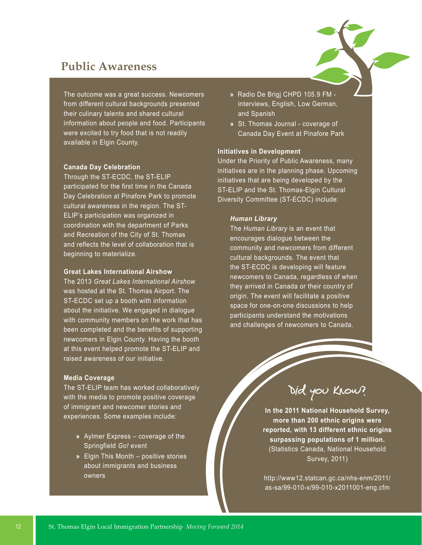## **Public Awareness**

The outcome was a great success. Newcomers from different cultural backgrounds presented their culinary talents and shared cultural information about people and food. Participants were excited to try food that is not readily available in Elgin County.

### **Canada Day Celebration**

Through the ST-ECDC, the ST-ELIP participated for the first time in the Canada Day Celebration at Pinafore Park to promote cultural awareness in the region. The ST-ELIP's participation was organized in coordination with the department of Parks and Recreation of the City of St. Thomas and reflects the level of collaboration that is beginning to materialize.

### **Great Lakes International Airshow**

The 2013 *Great Lakes International Airshow* was hosted at the St. Thomas Airport. The ST-ECDC set up a booth with information about the initiative. We engaged in dialogue with community members on the work that has been completed and the benefits of supporting newcomers in Elgin County. Having the booth at this event helped promote the ST-ELIP and raised awareness of our initiative.

### **Media Coverage**

The ST-ELIP team has worked collaboratively with the media to promote positive coverage of immigrant and newcomer stories and experiences. Some examples include:

- **»** Aylmer Express coverage of the Springfield *Go!* event
- **»** Elgin This Month positive stories about immigrants and business owners
- **»** Radio De Brigj CHPD 105.9 FM interviews, English, Low German, and Spanish
- **»** St. Thomas Journal coverage of Canada Day Event at Pinafore Park

## **Initiatives in Development**

Under the Priority of Public Awareness, many initiatives are in the planning phase. Upcoming initiatives that are being developed by the ST-ELIP and the St. Thomas-Elgin Cultural Diversity Committee (ST-ECDC) include:

### *Human Library*

The *Human Library* is an event that encourages dialogue between the community and newcomers from different cultural backgrounds. The event that the ST-ECDC is developing will feature newcomers to Canada, regardless of when they arrived in Canada or their country of origin. The event will facilitate a positive space for one-on-one discussions to help participants understand the motivations and challenges of newcomers to Canada.

Did you know?

**In the 2011 National Household Survey, more than 200 ethnic origins were reported, with 13 different ethnic origins surpassing populations of 1 million.** (Statistics Canada, National Household Survey, 2011)

http://www12.statcan.gc.ca/nhs-enm/2011/ as-sa/99-010-x/99-010-x2011001-eng.cfm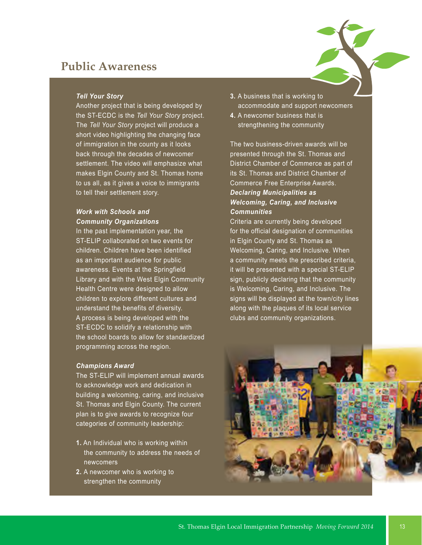## **Public Awareness**

### *Tell Your Story*

Another project that is being developed by the ST-ECDC is the *Tell Your Story* project. The *Tell Your Story* project will produce a short video highlighting the changing face of immigration in the county as it looks back through the decades of newcomer settlement. The video will emphasize what makes Elgin County and St. Thomas home to us all, as it gives a voice to immigrants to tell their settlement story.

## *Work with Schools and Community Organizations*

In the past implementation year, the ST-ELIP collaborated on two events for children. Children have been identified as an important audience for public awareness. Events at the Springfield Library and with the West Elgin Community Health Centre were designed to allow children to explore different cultures and understand the benefits of diversity. A process is being developed with the ST-ECDC to solidify a relationship with the school boards to allow for standardized programming across the region.

### *Champions Award*

The ST-ELIP will implement annual awards to acknowledge work and dedication in building a welcoming, caring, and inclusive St. Thomas and Elgin County. The current plan is to give awards to recognize four categories of community leadership:

- **1.** An Individual who is working within the community to address the needs of newcomers
- **2.** A newcomer who is working to strengthen the community
- **3.** A business that is working to accommodate and support newcomers
- **4.** A newcomer business that is strengthening the community

The two business-driven awards will be presented through the St. Thomas and District Chamber of Commerce as part of its St. Thomas and District Chamber of Commerce Free Enterprise Awards. *Declaring Municipalities as Welcoming, Caring, and Inclusive Communities*

Criteria are currently being developed for the official designation of communities in Elgin County and St. Thomas as Welcoming, Caring, and Inclusive. When a community meets the prescribed criteria, it will be presented with a special ST-ELIP sign, publicly declaring that the community is Welcoming, Caring, and Inclusive. The signs will be displayed at the town/city lines along with the plaques of its local service clubs and community organizations.

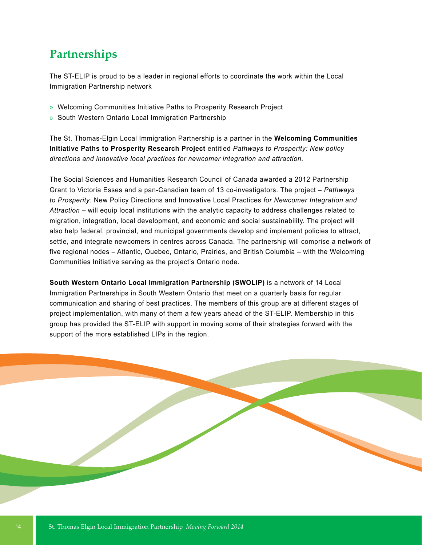## **Partnerships**

The ST-ELIP is proud to be a leader in regional efforts to coordinate the work within the Local Immigration Partnership network

- » Welcoming Communities Initiative Paths to Prosperity Research Project
- » South Western Ontario Local Immigration Partnership

The St. Thomas-Elgin Local Immigration Partnership is a partner in the **Welcoming Communities Initiative Paths to Prosperity Research Project** entitled *Pathways to Prosperity: New policy directions and innovative local practices for newcomer integration and attraction.*

The Social Sciences and Humanities Research Council of Canada awarded a 2012 Partnership Grant to Victoria Esses and a pan-Canadian team of 13 co-investigators. The project – *Pathways to Prosperity:* New Policy Directions and Innovative Local Practices *for Newcomer Integration and Attraction* – will equip local institutions with the analytic capacity to address challenges related to migration, integration, local development, and economic and social sustainability. The project will also help federal, provincial, and municipal governments develop and implement policies to attract, settle, and integrate newcomers in centres across Canada. The partnership will comprise a network of five regional nodes – Atlantic, Quebec, Ontario, Prairies, and British Columbia – with the Welcoming Communities Initiative serving as the project's Ontario node.

**South Western Ontario Local Immigration Partnership (SWOLIP)** is a network of 14 Local Immigration Partnerships in South Western Ontario that meet on a quarterly basis for regular communication and sharing of best practices. The members of this group are at different stages of project implementation, with many of them a few years ahead of the ST-ELIP. Membership in this group has provided the ST-ELIP with support in moving some of their strategies forward with the support of the more established LIPs in the region.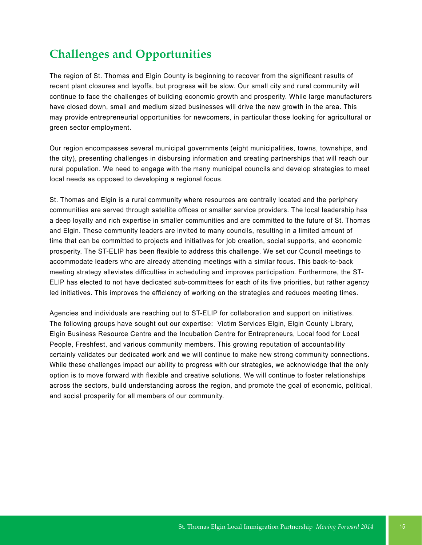## **Challenges and Opportunities**

The region of St. Thomas and Elgin County is beginning to recover from the significant results of recent plant closures and layoffs, but progress will be slow. Our small city and rural community will continue to face the challenges of building economic growth and prosperity. While large manufacturers have closed down, small and medium sized businesses will drive the new growth in the area. This may provide entrepreneurial opportunities for newcomers, in particular those looking for agricultural or green sector employment.

Our region encompasses several municipal governments (eight municipalities, towns, townships, and the city), presenting challenges in disbursing information and creating partnerships that will reach our rural population. We need to engage with the many municipal councils and develop strategies to meet local needs as opposed to developing a regional focus.

St. Thomas and Elgin is a rural community where resources are centrally located and the periphery communities are served through satellite offices or smaller service providers. The local leadership has a deep loyalty and rich expertise in smaller communities and are committed to the future of St. Thomas and Elgin. These community leaders are invited to many councils, resulting in a limited amount of time that can be committed to projects and initiatives for job creation, social supports, and economic prosperity. The ST-ELIP has been flexible to address this challenge. We set our Council meetings to accommodate leaders who are already attending meetings with a similar focus. This back-to-back meeting strategy alleviates difficulties in scheduling and improves participation. Furthermore, the ST-ELIP has elected to not have dedicated sub-committees for each of its five priorities, but rather agency led initiatives. This improves the efficiency of working on the strategies and reduces meeting times.

Agencies and individuals are reaching out to ST-ELIP for collaboration and support on initiatives. The following groups have sought out our expertise: Victim Services Elgin, Elgin County Library, Elgin Business Resource Centre and the Incubation Centre for Entrepreneurs, Local food for Local People, Freshfest, and various community members. This growing reputation of accountability certainly validates our dedicated work and we will continue to make new strong community connections. While these challenges impact our ability to progress with our strategies, we acknowledge that the only option is to move forward with flexible and creative solutions. We will continue to foster relationships across the sectors, build understanding across the region, and promote the goal of economic, political, and social prosperity for all members of our community.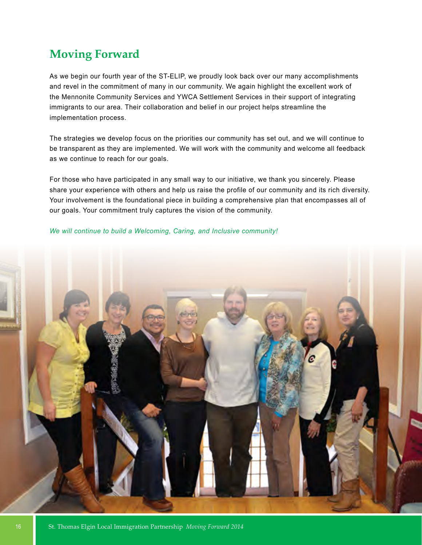## **Moving Forward**

As we begin our fourth year of the ST-ELIP, we proudly look back over our many accomplishments and revel in the commitment of many in our community. We again highlight the excellent work of the Mennonite Community Services and YWCA Settlement Services in their support of integrating immigrants to our area. Their collaboration and belief in our project helps streamline the implementation process.

The strategies we develop focus on the priorities our community has set out, and we will continue to be transparent as they are implemented. We will work with the community and welcome all feedback as we continue to reach for our goals.

For those who have participated in any small way to our initiative, we thank you sincerely. Please share your experience with others and help us raise the profile of our community and its rich diversity. Your involvement is the foundational piece in building a comprehensive plan that encompasses all of our goals. Your commitment truly captures the vision of the community.

## *We will continue to build a Welcoming, Caring, and Inclusive community!*